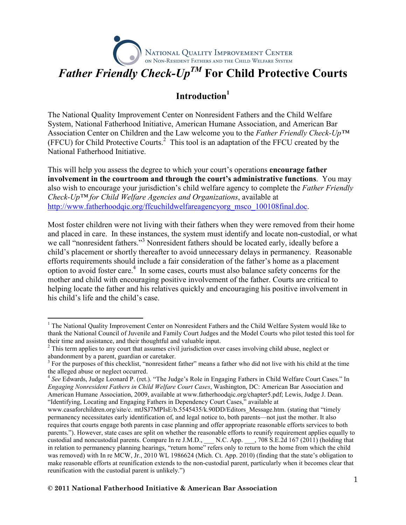# NATIONAL QUALITY IMPROVEMENT CENTER<br>on Non-Resident Fathers and the Child Welfare System Father Friendly Check-Up<sup>TM</sup> For Child Protective Courts

# Introduction<sup>1</sup>

The National Quality Improvement Center on Nonresident Fathers and the Child Welfare System, National Fatherhood Initiative, American Humane Association, and American Bar Association Center on Children and the Law welcome you to the Father Friendly Check-Up<sup>TM</sup>  $(FFCU)$  for Child Protective Courts.<sup>2</sup> This tool is an adaptation of the FFCU created by the National Fatherhood Initiative.

This will help you assess the degree to which your court's operations encourage father involvement in the courtroom and through the court's administrative functions. You may also wish to encourage your jurisdiction's child welfare agency to complete the Father Friendly  $Check$ -Up<sup>TM</sup> for Child Welfare Agencies and Organizations, available at http://www.fatherhoodqic.org/ffcuchildwelfareagencyorg\_msco\_100108final.doc.

Most foster children were not living with their fathers when they were removed from their home and placed in care. In these instances, the system must identify and locate non-custodial, or what we call "nonresident fathers."<sup>3</sup> Nonresident fathers should be located early, ideally before a child's placement or shortly thereafter to avoid unnecessary delays in permanency. Reasonable efforts requirements should include a fair consideration of the father's home as a placement option to avoid foster care.<sup>4</sup> In some cases, courts must also balance safety concerns for the mother and child with encouraging positive involvement of the father. Courts are critical to helping locate the father and his relatives quickly and encouraging his positive involvement in his child's life and the child's case.

 $\overline{a}$ 

<sup>&</sup>lt;sup>1</sup> The National Quality Improvement Center on Nonresident Fathers and the Child Welfare System would like to thank the National Council of Juvenile and Family Court Judges and the Model Courts who pilot tested this tool for their time and assistance, and their thoughtful and valuable input.

 $2$  This term applies to any court that assumes civil jurisdiction over cases involving child abuse, neglect or abandonment by a parent, guardian or caretaker.

 $3$  For the purposes of this checklist, "nonresident father" means a father who did not live with his child at the time the alleged abuse or neglect occurred.

<sup>&</sup>lt;sup>4</sup> See Edwards, Judge Leonard P. (ret.). "The Judge's Role in Engaging Fathers in Child Welfare Court Cases." In Engaging Nonresident Fathers in Child Welfare Court Cases, Washington, DC: American Bar Association and American Humane Association, 2009, available at www.fatherhoodqic.org/chapter5.pdf; Lewis, Judge J. Dean. "Identifying, Locating and Engaging Fathers in Dependency Court Cases," available at

www.casaforchildren.org/site/c. mtJSJ7MPIsE/b.5545435/k.90DD/Editors\_Message.htm. (stating that "timely permanency necessitates early identification of, and legal notice to, both parents—not just the mother. It also requires that courts engage both parents in case planning and offer appropriate reasonable efforts services to both parents."). However, state cases are split on whether the reasonable efforts to reunify requirement applies equally to custodial and noncustodial parents. Compare In re J.M.D., \_\_\_ N.C. App. \_\_\_, 708 S.E.2d 167 (2011) (holding that in relation to permanency planning hearings, "return home" refers only to return to the home from which the child was removed) with In re MCW, Jr., 2010 WL 1986624 (Mich. Ct. App. 2010) (finding that the state's obligation to make reasonable efforts at reunification extends to the non-custodial parent, particularly when it becomes clear that reunification with the custodial parent is unlikely.")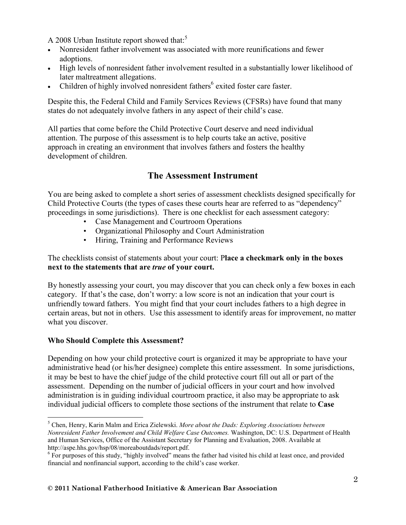A 2008 Urban Institute report showed that:<sup>5</sup>

- Nonresident father involvement was associated with more reunifications and fewer adoptions.
- High levels of nonresident father involvement resulted in a substantially lower likelihood of later maltreatment allegations.
- Children of highly involved nonresident fathers<sup>6</sup> exited foster care faster.

Despite this, the Federal Child and Family Services Reviews (CFSRs) have found that many states do not adequately involve fathers in any aspect of their child's case.

All parties that come before the Child Protective Court deserve and need individual attention. The purpose of this assessment is to help courts take an active, positive approach in creating an environment that involves fathers and fosters the healthy development of children.

# The Assessment Instrument

You are being asked to complete a short series of assessment checklists designed specifically for Child Protective Courts (the types of cases these courts hear are referred to as "dependency" proceedings in some jurisdictions). There is one checklist for each assessment category:

- Case Management and Courtroom Operations
- Organizational Philosophy and Court Administration
- Hiring, Training and Performance Reviews

### The checklists consist of statements about your court: Place a checkmark only in the boxes next to the statements that are true of your court.

By honestly assessing your court, you may discover that you can check only a few boxes in each category. If that's the case, don't worry: a low score is not an indication that your court is unfriendly toward fathers. You might find that your court includes fathers to a high degree in certain areas, but not in others. Use this assessment to identify areas for improvement, no matter what you discover.

# Who Should Complete this Assessment?

Depending on how your child protective court is organized it may be appropriate to have your administrative head (or his/her designee) complete this entire assessment. In some jurisdictions, it may be best to have the chief judge of the child protective court fill out all or part of the assessment. Depending on the number of judicial officers in your court and how involved administration is in guiding individual courtroom practice, it also may be appropriate to ask individual judicial officers to complete those sections of the instrument that relate to Case

<sup>-&</sup>lt;br><sup>5</sup> Chen, Henry, Karin Malm and Erica Zielewski. *More about the Dads: Exploring Associations between* Nonresident Father Involvement and Child Welfare Case Outcomes. Washington, DC: U.S. Department of Health and Human Services, Office of the Assistant Secretary for Planning and Evaluation, 2008. Available at http://aspe.hhs.gov/hsp/08/moreaboutdads/report.pdf.

<sup>&</sup>lt;sup>6</sup> For purposes of this study, "highly involved" means the father had visited his child at least once, and provided financial and nonfinancial support, according to the child's case worker.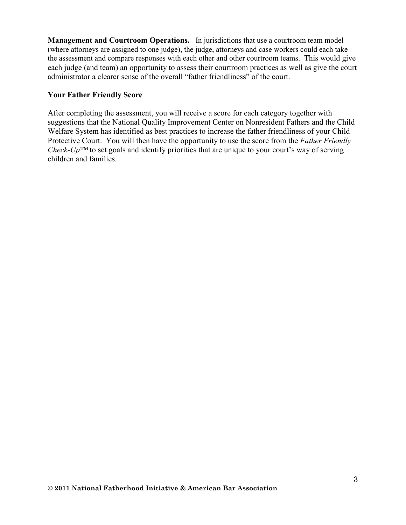Management and Courtroom Operations. In jurisdictions that use a courtroom team model (where attorneys are assigned to one judge), the judge, attorneys and case workers could each take the assessment and compare responses with each other and other courtroom teams. This would give each judge (and team) an opportunity to assess their courtroom practices as well as give the court administrator a clearer sense of the overall "father friendliness" of the court.

#### Your Father Friendly Score

After completing the assessment, you will receive a score for each category together with suggestions that the National Quality Improvement Center on Nonresident Fathers and the Child Welfare System has identified as best practices to increase the father friendliness of your Child Protective Court. You will then have the opportunity to use the score from the Father Friendly Check-Up<sup>TM</sup> to set goals and identify priorities that are unique to your court's way of serving children and families.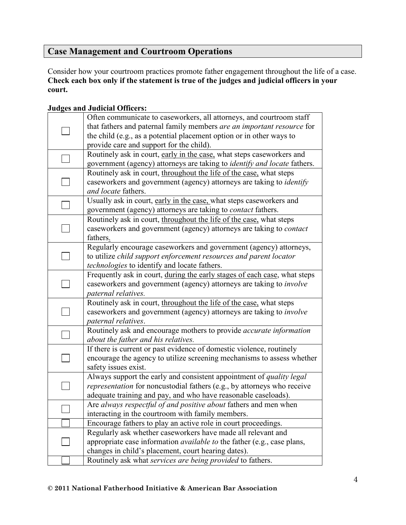# Case Management and Courtroom Operations

Consider how your courtroom practices promote father engagement throughout the life of a case. Check each box only if the statement is true of the judges and judicial officers in your court.

| <b>Judges and Judicial Officers:</b> |  |
|--------------------------------------|--|
|--------------------------------------|--|

| Often communicate to caseworkers, all attorneys, and courtroom staff                                                                                                                                              |
|-------------------------------------------------------------------------------------------------------------------------------------------------------------------------------------------------------------------|
| that fathers and paternal family members are an important resource for<br>the child (e.g., as a potential placement option or in other ways to<br>provide care and support for the child).                        |
| Routinely ask in court, early in the case, what steps caseworkers and<br>government (agency) attorneys are taking to <i>identify and locate</i> fathers.                                                          |
| Routinely ask in court, throughout the life of the case, what steps<br>caseworkers and government (agency) attorneys are taking to <i>identify</i><br>and locate fathers.                                         |
| Usually ask in court, early in the case, what steps caseworkers and<br>government (agency) attorneys are taking to <i>contact</i> fathers.                                                                        |
| Routinely ask in court, throughout the life of the case, what steps<br>caseworkers and government (agency) attorneys are taking to contact<br>fathers.                                                            |
| Regularly encourage caseworkers and government (agency) attorneys,<br>to utilize child support enforcement resources and parent locator<br>technologies to identify and locate fathers.                           |
| Frequently ask in court, during the early stages of each case, what steps<br>caseworkers and government (agency) attorneys are taking to <i>involve</i><br>paternal relatives.                                    |
| Routinely ask in court, throughout the life of the case, what steps<br>caseworkers and government (agency) attorneys are taking to involve<br>paternal relatives.                                                 |
| Routinely ask and encourage mothers to provide accurate information<br>about the father and his relatives.                                                                                                        |
| If there is current or past evidence of domestic violence, routinely<br>encourage the agency to utilize screening mechanisms to assess whether<br>safety issues exist.                                            |
| Always support the early and consistent appointment of quality legal<br>representation for noncustodial fathers (e.g., by attorneys who receive<br>adequate training and pay, and who have reasonable caseloads). |
| Are always respectful of and positive about fathers and men when<br>interacting in the courtroom with family members.                                                                                             |
| Encourage fathers to play an active role in court proceedings.                                                                                                                                                    |
| Regularly ask whether caseworkers have made all relevant and<br>appropriate case information <i>available to</i> the father (e.g., case plans,<br>changes in child's placement, court hearing dates).             |
| Routinely ask what services are being provided to fathers.                                                                                                                                                        |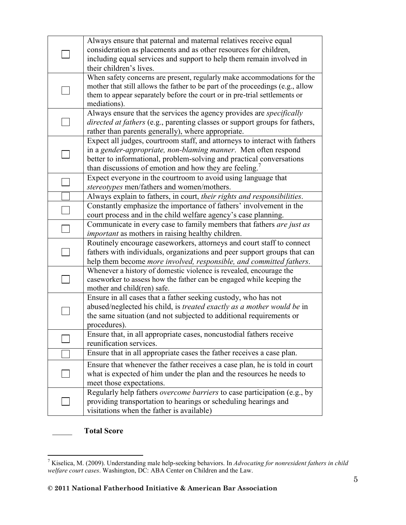|  | Always ensure that paternal and maternal relatives receive equal                                                                 |
|--|----------------------------------------------------------------------------------------------------------------------------------|
|  | consideration as placements and as other resources for children,                                                                 |
|  | including equal services and support to help them remain involved in                                                             |
|  | their children's lives.                                                                                                          |
|  | When safety concerns are present, regularly make accommodations for the                                                          |
|  | mother that still allows the father to be part of the proceedings (e.g., allow                                                   |
|  | them to appear separately before the court or in pre-trial settlements or                                                        |
|  | mediations).                                                                                                                     |
|  | Always ensure that the services the agency provides are <i>specifically</i>                                                      |
|  | <i>directed at fathers</i> (e.g., parenting classes or support groups for fathers,                                               |
|  | rather than parents generally), where appropriate.                                                                               |
|  | Expect all judges, courtroom staff, and attorneys to interact with fathers                                                       |
|  | in a gender-appropriate, non-blaming manner. Men often respond                                                                   |
|  | better to informational, problem-solving and practical conversations                                                             |
|  | than discussions of emotion and how they are feeling.                                                                            |
|  | Expect everyone in the courtroom to avoid using language that                                                                    |
|  | stereotypes men/fathers and women/mothers.                                                                                       |
|  | Always explain to fathers, in court, their rights and responsibilities.                                                          |
|  | Constantly emphasize the importance of fathers' involvement in the                                                               |
|  | court process and in the child welfare agency's case planning.                                                                   |
|  | Communicate in every case to family members that fathers are just as<br><i>important</i> as mothers in raising healthy children. |
|  | Routinely encourage caseworkers, attorneys and court staff to connect                                                            |
|  | fathers with individuals, organizations and peer support groups that can                                                         |
|  | help them become more involved, responsible, and committed fathers.                                                              |
|  | Whenever a history of domestic violence is revealed, encourage the                                                               |
|  | caseworker to assess how the father can be engaged while keeping the                                                             |
|  | mother and child(ren) safe.                                                                                                      |
|  | Ensure in all cases that a father seeking custody, who has not                                                                   |
|  | abused/neglected his child, is treated exactly as a mother would be in                                                           |
|  | the same situation (and not subjected to additional requirements or                                                              |
|  | procedures).                                                                                                                     |
|  | Ensure that, in all appropriate cases, noncustodial fathers receive                                                              |
|  | reunification services.                                                                                                          |
|  | Ensure that in all appropriate cases the father receives a case plan.                                                            |
|  | Ensure that whenever the father receives a case plan, he is told in court                                                        |
|  | what is expected of him under the plan and the resources he needs to                                                             |
|  | meet those expectations.                                                                                                         |
|  | Regularly help fathers <i>overcome barriers</i> to case participation (e.g., by                                                  |
|  | providing transportation to hearings or scheduling hearings and                                                                  |
|  | visitations when the father is available)                                                                                        |
|  |                                                                                                                                  |

\_\_\_\_\_ Total Score

TRIN TREST TEEST TEEST TEEST TEEST TEEST TEEST TEEST TEEST TEEST TEEST TEEST TEEST TEEST TEEST TEEST TEEST TEE<br>TRISPERSITEER TEEST TEEST TEEST TEEST TEEST TEEST TEEST TEEST TEEST TEEST TEEST TEEST TEEST TEEST TEEST TEEST welfare court cases. Washington, DC: ABA Center on Children and the Law.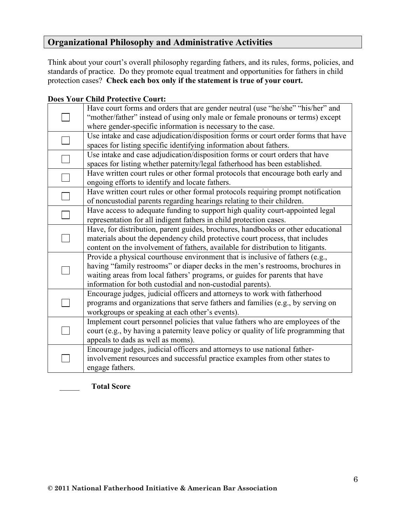# Organizational Philosophy and Administrative Activities

Think about your court's overall philosophy regarding fathers, and its rules, forms, policies, and standards of practice. Do they promote equal treatment and opportunities for fathers in child protection cases? Check each box only if the statement is true of your court.

#### Does Your Child Protective Court:

| Have court forms and orders that are gender neutral (use "he/she" "his/her" and<br>"mother/father" instead of using only male or female pronouns or terms) except<br>where gender-specific information is necessary to the case.                                                                             |  |  |  |  |
|--------------------------------------------------------------------------------------------------------------------------------------------------------------------------------------------------------------------------------------------------------------------------------------------------------------|--|--|--|--|
| Use intake and case adjudication/disposition forms or court order forms that have<br>spaces for listing specific identifying information about fathers.                                                                                                                                                      |  |  |  |  |
| Use intake and case adjudication/disposition forms or court orders that have<br>spaces for listing whether paternity/legal fatherhood has been established.                                                                                                                                                  |  |  |  |  |
| Have written court rules or other formal protocols that encourage both early and<br>ongoing efforts to identify and locate fathers.                                                                                                                                                                          |  |  |  |  |
| Have written court rules or other formal protocols requiring prompt notification<br>of noncustodial parents regarding hearings relating to their children.                                                                                                                                                   |  |  |  |  |
| Have access to adequate funding to support high quality court-appointed legal<br>representation for all indigent fathers in child protection cases.                                                                                                                                                          |  |  |  |  |
| Have, for distribution, parent guides, brochures, handbooks or other educational<br>materials about the dependency child protective court process, that includes<br>content on the involvement of fathers, available for distribution to litigants.                                                          |  |  |  |  |
| Provide a physical courthouse environment that is inclusive of fathers (e.g.,<br>having "family restrooms" or diaper decks in the men's restrooms, brochures in<br>waiting areas from local fathers' programs, or guides for parents that have<br>information for both custodial and non-custodial parents). |  |  |  |  |
| Encourage judges, judicial officers and attorneys to work with fatherhood<br>programs and organizations that serve fathers and families (e.g., by serving on<br>workgroups or speaking at each other's events).                                                                                              |  |  |  |  |
| Implement court personnel policies that value fathers who are employees of the<br>court (e.g., by having a paternity leave policy or quality of life programming that<br>appeals to dads as well as moms).                                                                                                   |  |  |  |  |
| Encourage judges, judicial officers and attorneys to use national father-<br>involvement resources and successful practice examples from other states to<br>engage fathers.                                                                                                                                  |  |  |  |  |
|                                                                                                                                                                                                                                                                                                              |  |  |  |  |

\_\_\_\_\_ Total Score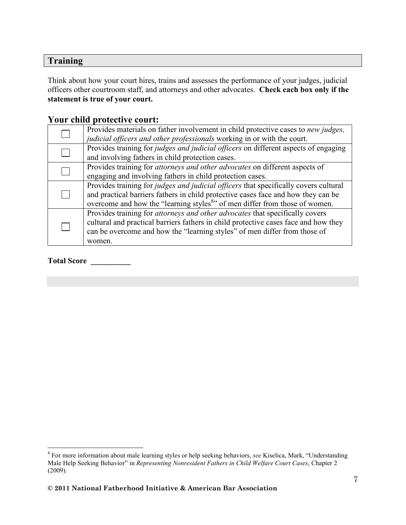# **Training**

Think about how your court hires, trains and assesses the performance of your judges, judicial officers other courtroom staff, and attorneys and other advocates. Check each box only if the statement is true of your court.

# Your child protective court:

| Provides materials on father involvement in child protective cases to new judges,<br>judicial officers and other professionals working in or with the court.                                                                                                                |  |  |  |
|-----------------------------------------------------------------------------------------------------------------------------------------------------------------------------------------------------------------------------------------------------------------------------|--|--|--|
| Provides training for judges and judicial officers on different aspects of engaging<br>and involving fathers in child protection cases.                                                                                                                                     |  |  |  |
| Provides training for attorneys and other advocates on different aspects of<br>engaging and involving fathers in child protection cases.                                                                                                                                    |  |  |  |
| Provides training for <i>judges and judicial officers</i> that specifically covers cultural<br>and practical barriers fathers in child protective cases face and how they can be<br>overcome and how the "learning styles <sup>8</sup> " of men differ from those of women. |  |  |  |
| Provides training for <i>attorneys and other advocates</i> that specifically covers<br>cultural and practical barriers fathers in child protective cases face and how they<br>can be overcome and how the "learning styles" of men differ from those of<br>women.           |  |  |  |

#### Total Score \_\_\_\_\_\_\_\_\_\_

<sup>&</sup>lt;sup>8</sup> For more information about male learning styles or help seeking behaviors, see Kiselica, Mark, "Understanding Male Help Seeking Behavior" in Representing Nonresident Fathers in Child Welfare Court Cases, Chapter 2 (2009).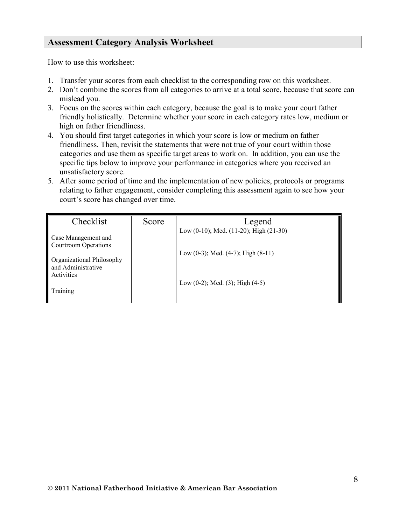# Assessment Category Analysis Worksheet

How to use this worksheet:

- 1. Transfer your scores from each checklist to the corresponding row on this worksheet.
- 2. Don't combine the scores from all categories to arrive at a total score, because that score can mislead you.
- 3. Focus on the scores within each category, because the goal is to make your court father friendly holistically. Determine whether your score in each category rates low, medium or high on father friendliness.
- 4. You should first target categories in which your score is low or medium on father friendliness. Then, revisit the statements that were not true of your court within those categories and use them as specific target areas to work on. In addition, you can use the specific tips below to improve your performance in categories where you received an unsatisfactory score.
- 5. After some period of time and the implementation of new policies, protocols or programs relating to father engagement, consider completing this assessment again to see how your court's score has changed over time.

| Checklist                                                     | Score | Legend                                     |
|---------------------------------------------------------------|-------|--------------------------------------------|
| Case Management and<br>Courtroom Operations                   |       | Low (0-10); Med. (11-20); High (21-30)     |
| Organizational Philosophy<br>and Administrative<br>Activities |       | Low $(0-3)$ ; Med. $(4-7)$ ; High $(8-11)$ |
| Training                                                      |       | Low $(0-2)$ ; Med. $(3)$ ; High $(4-5)$    |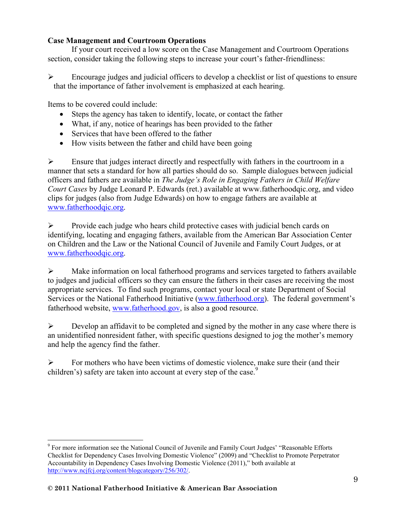# Case Management and Courtroom Operations

 If your court received a low score on the Case Management and Courtroom Operations section, consider taking the following steps to increase your court's father-friendliness:

 $\triangleright$  Encourage judges and judicial officers to develop a checklist or list of questions to ensure that the importance of father involvement is emphasized at each hearing.

Items to be covered could include:

- Steps the agency has taken to identify, locate, or contact the father
- What, if any, notice of hearings has been provided to the father
- Services that have been offered to the father
- How visits between the father and child have been going

 $\triangleright$  Ensure that judges interact directly and respectfully with fathers in the courtroom in a manner that sets a standard for how all parties should do so. Sample dialogues between judicial officers and fathers are available in The Judge's Role in Engaging Fathers in Child Welfare Court Cases by Judge Leonard P. Edwards (ret.) available at www.fatherhoodqic.org, and video clips for judges (also from Judge Edwards) on how to engage fathers are available at www.fatherhoodqic.org.

 $\triangleright$  Provide each judge who hears child protective cases with judicial bench cards on identifying, locating and engaging fathers, available from the American Bar Association Center on Children and the Law or the National Council of Juvenile and Family Court Judges, or at www.fatherhoodqic.org.

 $\triangleright$  Make information on local fatherhood programs and services targeted to fathers available to judges and judicial officers so they can ensure the fathers in their cases are receiving the most appropriate services. To find such programs, contact your local or state Department of Social Services or the National Fatherhood Initiative (www.fatherhood.org). The federal government's fatherhood website, www.fatherhood.gov, is also a good resource.

 $\triangleright$  Develop an affidavit to be completed and signed by the mother in any case where there is an unidentified nonresident father, with specific questions designed to jog the mother's memory and help the agency find the father.

 $\triangleright$  For mothers who have been victims of domestic violence, make sure their (and their children's) safety are taken into account at every step of the case.<sup>9</sup>

 $\overline{a}$ <sup>9</sup> For more information see the National Council of Juvenile and Family Court Judges' "Reasonable Efforts Checklist for Dependency Cases Involving Domestic Violence" (2009) and "Checklist to Promote Perpetrator Accountability in Dependency Cases Involving Domestic Violence (2011)," both available at http://www.ncjfcj.org/content/blogcategory/256/302/.